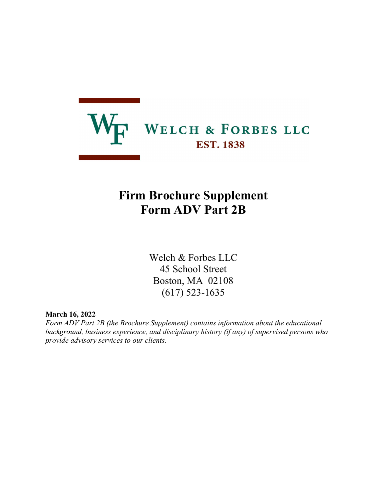

# Firm Brochure Supplement Form ADV Part 2B

Welch & Forbes LLC 45 School Street Boston, MA 02108 (617) 523-1635

March 16, 2022

Form ADV Part 2B (the Brochure Supplement) contains information about the educational background, business experience, and disciplinary history (if any) of supervised persons who provide advisory services to our clients.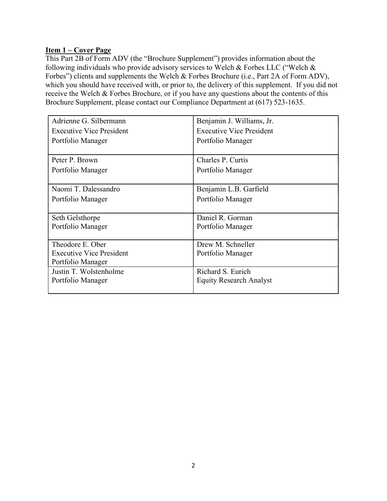# Item 1 – Cover Page

This Part 2B of Form ADV (the "Brochure Supplement") provides information about the following individuals who provide advisory services to Welch & Forbes LLC ("Welch & Forbes") clients and supplements the Welch & Forbes Brochure (i.e., Part 2A of Form ADV), which you should have received with, or prior to, the delivery of this supplement. If you did not receive the Welch & Forbes Brochure, or if you have any questions about the contents of this Brochure Supplement, please contact our Compliance Department at (617) 523-1635.

| Adrienne G. Silbermann          | Benjamin J. Williams, Jr.       |
|---------------------------------|---------------------------------|
| <b>Executive Vice President</b> | <b>Executive Vice President</b> |
| Portfolio Manager               | Portfolio Manager               |
|                                 |                                 |
| Peter P. Brown                  | Charles P. Curtis               |
| Portfolio Manager               | Portfolio Manager               |
|                                 |                                 |
| Naomi T. Dalessandro            | Benjamin L.B. Garfield          |
| Portfolio Manager               | Portfolio Manager               |
|                                 |                                 |
| Seth Gelsthorpe                 | Daniel R. Gorman                |
| Portfolio Manager               | Portfolio Manager               |
|                                 |                                 |
| Theodore E. Ober                | Drew M. Schneller               |
| <b>Executive Vice President</b> | Portfolio Manager               |
| Portfolio Manager               |                                 |
| Justin T. Wolstenholme          | Richard S. Eurich               |
| Portfolio Manager               | <b>Equity Research Analyst</b>  |
|                                 |                                 |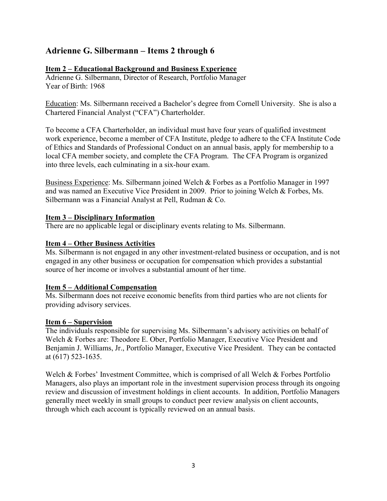# Adrienne G. Silbermann – Items 2 through 6

### Item 2 – Educational Background and Business Experience

Adrienne G. Silbermann, Director of Research, Portfolio Manager Year of Birth: 1968

Education: Ms. Silbermann received a Bachelor's degree from Cornell University. She is also a Chartered Financial Analyst ("CFA") Charterholder.

To become a CFA Charterholder, an individual must have four years of qualified investment work experience, become a member of CFA Institute, pledge to adhere to the CFA Institute Code of Ethics and Standards of Professional Conduct on an annual basis, apply for membership to a local CFA member society, and complete the CFA Program. The CFA Program is organized into three levels, each culminating in a six-hour exam.

Business Experience: Ms. Silbermann joined Welch & Forbes as a Portfolio Manager in 1997 and was named an Executive Vice President in 2009. Prior to joining Welch & Forbes, Ms. Silbermann was a Financial Analyst at Pell, Rudman & Co.

#### Item 3 – Disciplinary Information

There are no applicable legal or disciplinary events relating to Ms. Silbermann.

#### Item 4 – Other Business Activities

Ms. Silbermann is not engaged in any other investment-related business or occupation, and is not engaged in any other business or occupation for compensation which provides a substantial source of her income or involves a substantial amount of her time.

#### Item 5 – Additional Compensation

Ms. Silbermann does not receive economic benefits from third parties who are not clients for providing advisory services.

#### Item 6 – Supervision

The individuals responsible for supervising Ms. Silbermann's advisory activities on behalf of Welch & Forbes are: Theodore E. Ober, Portfolio Manager, Executive Vice President and Benjamin J. Williams, Jr., Portfolio Manager, Executive Vice President. They can be contacted at (617) 523-1635.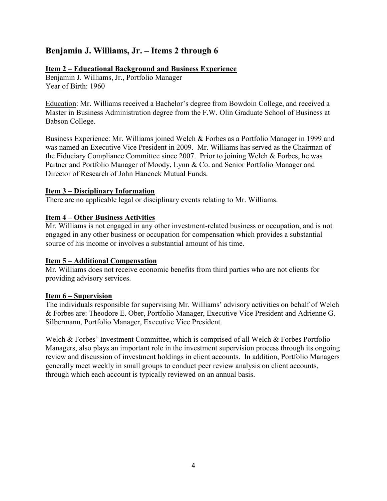# Benjamin J. Williams, Jr. – Items 2 through 6

# Item 2 – Educational Background and Business Experience

Benjamin J. Williams, Jr., Portfolio Manager Year of Birth: 1960

Education: Mr. Williams received a Bachelor's degree from Bowdoin College, and received a Master in Business Administration degree from the F.W. Olin Graduate School of Business at Babson College.

Business Experience: Mr. Williams joined Welch & Forbes as a Portfolio Manager in 1999 and was named an Executive Vice President in 2009. Mr. Williams has served as the Chairman of the Fiduciary Compliance Committee since 2007. Prior to joining Welch & Forbes, he was Partner and Portfolio Manager of Moody, Lynn & Co. and Senior Portfolio Manager and Director of Research of John Hancock Mutual Funds.

#### Item 3 – Disciplinary Information

There are no applicable legal or disciplinary events relating to Mr. Williams.

# Item 4 – Other Business Activities

Mr. Williams is not engaged in any other investment-related business or occupation, and is not engaged in any other business or occupation for compensation which provides a substantial source of his income or involves a substantial amount of his time.

# Item 5 – Additional Compensation

Mr. Williams does not receive economic benefits from third parties who are not clients for providing advisory services.

#### Item 6 – Supervision

The individuals responsible for supervising Mr. Williams' advisory activities on behalf of Welch & Forbes are: Theodore E. Ober, Portfolio Manager, Executive Vice President and Adrienne G. Silbermann, Portfolio Manager, Executive Vice President.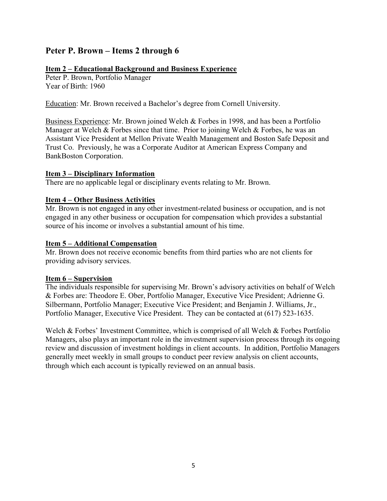# Peter P. Brown – Items 2 through 6

#### Item 2 – Educational Background and Business Experience

Peter P. Brown, Portfolio Manager Year of Birth: 1960

Education: Mr. Brown received a Bachelor's degree from Cornell University.

Business Experience: Mr. Brown joined Welch & Forbes in 1998, and has been a Portfolio Manager at Welch & Forbes since that time. Prior to joining Welch & Forbes, he was an Assistant Vice President at Mellon Private Wealth Management and Boston Safe Deposit and Trust Co. Previously, he was a Corporate Auditor at American Express Company and BankBoston Corporation.

#### Item 3 – Disciplinary Information

There are no applicable legal or disciplinary events relating to Mr. Brown.

# Item 4 – Other Business Activities

Mr. Brown is not engaged in any other investment-related business or occupation, and is not engaged in any other business or occupation for compensation which provides a substantial source of his income or involves a substantial amount of his time.

#### Item 5 – Additional Compensation

Mr. Brown does not receive economic benefits from third parties who are not clients for providing advisory services.

#### Item 6 – Supervision

The individuals responsible for supervising Mr. Brown's advisory activities on behalf of Welch & Forbes are: Theodore E. Ober, Portfolio Manager, Executive Vice President; Adrienne G. Silbermann, Portfolio Manager; Executive Vice President; and Benjamin J. Williams, Jr., Portfolio Manager, Executive Vice President. They can be contacted at (617) 523-1635.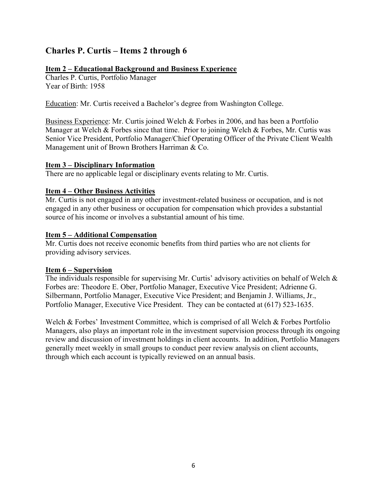# Charles P. Curtis – Items 2 through 6

# Item 2 – Educational Background and Business Experience

Charles P. Curtis, Portfolio Manager Year of Birth: 1958

Education: Mr. Curtis received a Bachelor's degree from Washington College.

Business Experience: Mr. Curtis joined Welch & Forbes in 2006, and has been a Portfolio Manager at Welch & Forbes since that time. Prior to joining Welch & Forbes, Mr. Curtis was Senior Vice President, Portfolio Manager/Chief Operating Officer of the Private Client Wealth Management unit of Brown Brothers Harriman & Co.

# Item 3 – Disciplinary Information

There are no applicable legal or disciplinary events relating to Mr. Curtis.

# Item 4 – Other Business Activities

Mr. Curtis is not engaged in any other investment-related business or occupation, and is not engaged in any other business or occupation for compensation which provides a substantial source of his income or involves a substantial amount of his time.

# Item 5 – Additional Compensation

Mr. Curtis does not receive economic benefits from third parties who are not clients for providing advisory services.

# Item 6 – Supervision

The individuals responsible for supervising Mr. Curtis' advisory activities on behalf of Welch & Forbes are: Theodore E. Ober, Portfolio Manager, Executive Vice President; Adrienne G. Silbermann, Portfolio Manager, Executive Vice President; and Benjamin J. Williams, Jr., Portfolio Manager, Executive Vice President. They can be contacted at (617) 523-1635.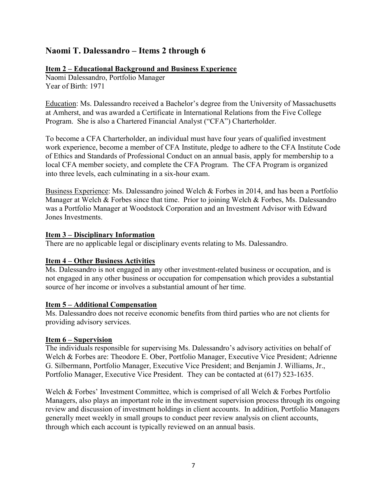# Naomi T. Dalessandro – Items 2 through 6

### Item 2 – Educational Background and Business Experience

Naomi Dalessandro, Portfolio Manager Year of Birth: 1971

Education: Ms. Dalessandro received a Bachelor's degree from the University of Massachusetts at Amherst, and was awarded a Certificate in International Relations from the Five College Program. She is also a Chartered Financial Analyst ("CFA") Charterholder.

To become a CFA Charterholder, an individual must have four years of qualified investment work experience, become a member of CFA Institute, pledge to adhere to the CFA Institute Code of Ethics and Standards of Professional Conduct on an annual basis, apply for membership to a local CFA member society, and complete the CFA Program. The CFA Program is organized into three levels, each culminating in a six-hour exam.

Business Experience: Ms. Dalessandro joined Welch & Forbes in 2014, and has been a Portfolio Manager at Welch & Forbes since that time. Prior to joining Welch & Forbes, Ms. Dalessandro was a Portfolio Manager at Woodstock Corporation and an Investment Advisor with Edward Jones Investments.

#### Item 3 – Disciplinary Information

There are no applicable legal or disciplinary events relating to Ms. Dalessandro.

# Item 4 – Other Business Activities

Ms. Dalessandro is not engaged in any other investment-related business or occupation, and is not engaged in any other business or occupation for compensation which provides a substantial source of her income or involves a substantial amount of her time.

#### Item 5 – Additional Compensation

Ms. Dalessandro does not receive economic benefits from third parties who are not clients for providing advisory services.

#### Item 6 – Supervision

The individuals responsible for supervising Ms. Dalessandro's advisory activities on behalf of Welch & Forbes are: Theodore E. Ober, Portfolio Manager, Executive Vice President; Adrienne G. Silbermann, Portfolio Manager, Executive Vice President; and Benjamin J. Williams, Jr., Portfolio Manager, Executive Vice President. They can be contacted at (617) 523-1635.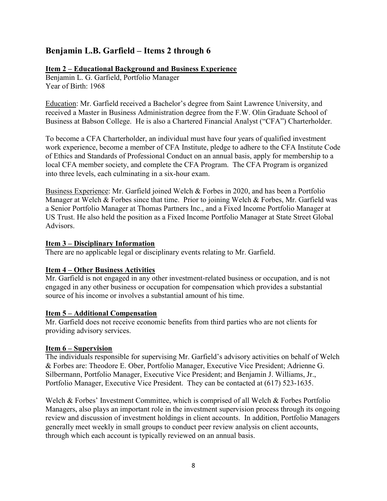# Benjamin L.B. Garfield – Items 2 through 6

### Item 2 – Educational Background and Business Experience

Benjamin L. G. Garfield, Portfolio Manager Year of Birth: 1968

Education: Mr. Garfield received a Bachelor's degree from Saint Lawrence University, and received a Master in Business Administration degree from the F.W. Olin Graduate School of Business at Babson College. He is also a Chartered Financial Analyst ("CFA") Charterholder.

To become a CFA Charterholder, an individual must have four years of qualified investment work experience, become a member of CFA Institute, pledge to adhere to the CFA Institute Code of Ethics and Standards of Professional Conduct on an annual basis, apply for membership to a local CFA member society, and complete the CFA Program. The CFA Program is organized into three levels, each culminating in a six-hour exam.

Business Experience: Mr. Garfield joined Welch & Forbes in 2020, and has been a Portfolio Manager at Welch & Forbes since that time. Prior to joining Welch & Forbes, Mr. Garfield was a Senior Portfolio Manager at Thomas Partners Inc., and a Fixed Income Portfolio Manager at US Trust. He also held the position as a Fixed Income Portfolio Manager at State Street Global Advisors.

#### Item 3 – Disciplinary Information

There are no applicable legal or disciplinary events relating to Mr. Garfield.

# Item 4 – Other Business Activities

Mr. Garfield is not engaged in any other investment-related business or occupation, and is not engaged in any other business or occupation for compensation which provides a substantial source of his income or involves a substantial amount of his time.

#### Item 5 – Additional Compensation

Mr. Garfield does not receive economic benefits from third parties who are not clients for providing advisory services.

# Item 6 – Supervision

The individuals responsible for supervising Mr. Garfield's advisory activities on behalf of Welch & Forbes are: Theodore E. Ober, Portfolio Manager, Executive Vice President; Adrienne G. Silbermann, Portfolio Manager, Executive Vice President; and Benjamin J. Williams, Jr., Portfolio Manager, Executive Vice President. They can be contacted at (617) 523-1635.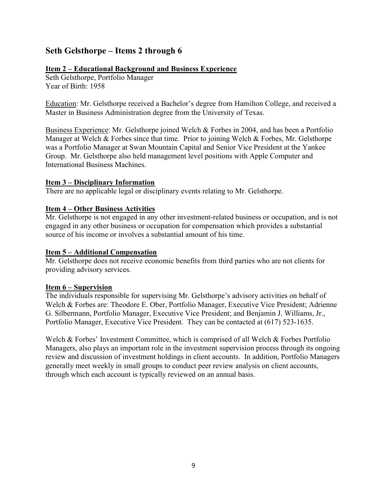# Seth Gelsthorpe – Items 2 through 6

### Item 2 – Educational Background and Business Experience

Seth Gelsthorpe, Portfolio Manager Year of Birth: 1958

Education: Mr. Gelsthorpe received a Bachelor's degree from Hamilton College, and received a Master in Business Administration degree from the University of Texas.

Business Experience: Mr. Gelsthorpe joined Welch & Forbes in 2004, and has been a Portfolio Manager at Welch & Forbes since that time. Prior to joining Welch & Forbes, Mr. Gelsthorpe was a Portfolio Manager at Swan Mountain Capital and Senior Vice President at the Yankee Group. Mr. Gelsthorpe also held management level positions with Apple Computer and International Business Machines.

#### Item 3 – Disciplinary Information

There are no applicable legal or disciplinary events relating to Mr. Gelsthorpe.

#### Item 4 – Other Business Activities

Mr. Gelsthorpe is not engaged in any other investment-related business or occupation, and is not engaged in any other business or occupation for compensation which provides a substantial source of his income or involves a substantial amount of his time.

#### Item 5 – Additional Compensation

Mr. Gelsthorpe does not receive economic benefits from third parties who are not clients for providing advisory services.

#### Item 6 – Supervision

The individuals responsible for supervising Mr. Gelsthorpe's advisory activities on behalf of Welch & Forbes are: Theodore E. Ober, Portfolio Manager, Executive Vice President; Adrienne G. Silbermann, Portfolio Manager, Executive Vice President; and Benjamin J. Williams, Jr., Portfolio Manager, Executive Vice President. They can be contacted at (617) 523-1635.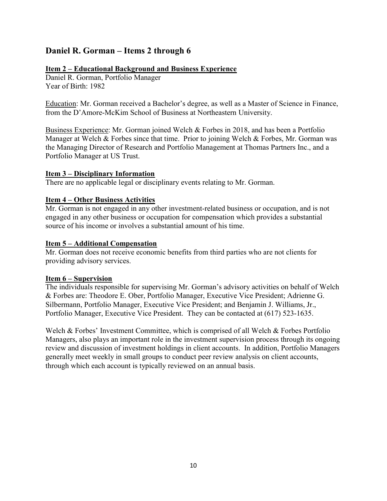# Daniel R. Gorman – Items 2 through 6

### Item 2 – Educational Background and Business Experience

Daniel R. Gorman, Portfolio Manager Year of Birth: 1982

Education: Mr. Gorman received a Bachelor's degree, as well as a Master of Science in Finance, from the D'Amore-McKim School of Business at Northeastern University.

Business Experience: Mr. Gorman joined Welch & Forbes in 2018, and has been a Portfolio Manager at Welch & Forbes since that time. Prior to joining Welch & Forbes, Mr. Gorman was the Managing Director of Research and Portfolio Management at Thomas Partners Inc., and a Portfolio Manager at US Trust.

#### Item 3 – Disciplinary Information

There are no applicable legal or disciplinary events relating to Mr. Gorman.

# Item 4 – Other Business Activities

Mr. Gorman is not engaged in any other investment-related business or occupation, and is not engaged in any other business or occupation for compensation which provides a substantial source of his income or involves a substantial amount of his time.

#### Item 5 – Additional Compensation

Mr. Gorman does not receive economic benefits from third parties who are not clients for providing advisory services.

#### Item 6 – Supervision

The individuals responsible for supervising Mr. Gorman's advisory activities on behalf of Welch & Forbes are: Theodore E. Ober, Portfolio Manager, Executive Vice President; Adrienne G. Silbermann, Portfolio Manager, Executive Vice President; and Benjamin J. Williams, Jr., Portfolio Manager, Executive Vice President. They can be contacted at (617) 523-1635.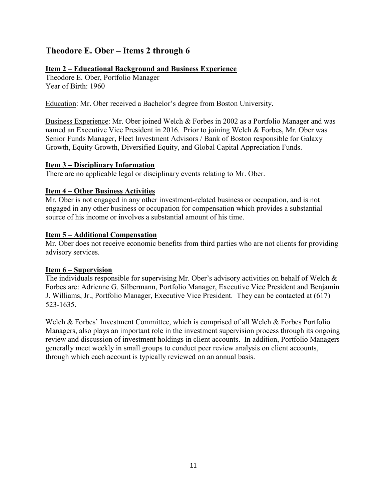# Theodore E. Ober – Items 2 through 6

### Item 2 – Educational Background and Business Experience

Theodore E. Ober, Portfolio Manager Year of Birth: 1960

Education: Mr. Ober received a Bachelor's degree from Boston University.

Business Experience: Mr. Ober joined Welch & Forbes in 2002 as a Portfolio Manager and was named an Executive Vice President in 2016. Prior to joining Welch & Forbes, Mr. Ober was Senior Funds Manager, Fleet Investment Advisors / Bank of Boston responsible for Galaxy Growth, Equity Growth, Diversified Equity, and Global Capital Appreciation Funds.

#### Item 3 – Disciplinary Information

There are no applicable legal or disciplinary events relating to Mr. Ober.

# Item 4 – Other Business Activities

Mr. Ober is not engaged in any other investment-related business or occupation, and is not engaged in any other business or occupation for compensation which provides a substantial source of his income or involves a substantial amount of his time.

#### Item 5 – Additional Compensation

Mr. Ober does not receive economic benefits from third parties who are not clients for providing advisory services.

# Item 6 – Supervision

The individuals responsible for supervising Mr. Ober's advisory activities on behalf of Welch & Forbes are: Adrienne G. Silbermann, Portfolio Manager, Executive Vice President and Benjamin J. Williams, Jr., Portfolio Manager, Executive Vice President. They can be contacted at (617) 523-1635.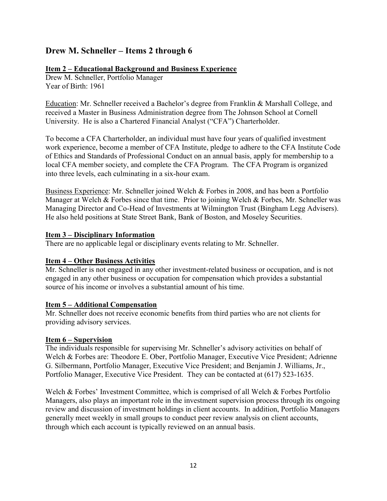# Drew M. Schneller – Items 2 through 6

### Item 2 – Educational Background and Business Experience

Drew M. Schneller, Portfolio Manager Year of Birth: 1961

Education: Mr. Schneller received a Bachelor's degree from Franklin & Marshall College, and received a Master in Business Administration degree from The Johnson School at Cornell University. He is also a Chartered Financial Analyst ("CFA") Charterholder.

To become a CFA Charterholder, an individual must have four years of qualified investment work experience, become a member of CFA Institute, pledge to adhere to the CFA Institute Code of Ethics and Standards of Professional Conduct on an annual basis, apply for membership to a local CFA member society, and complete the CFA Program. The CFA Program is organized into three levels, each culminating in a six-hour exam.

Business Experience: Mr. Schneller joined Welch & Forbes in 2008, and has been a Portfolio Manager at Welch & Forbes since that time. Prior to joining Welch & Forbes, Mr. Schneller was Managing Director and Co-Head of Investments at Wilmington Trust (Bingham Legg Advisers). He also held positions at State Street Bank, Bank of Boston, and Moseley Securities.

#### Item 3 – Disciplinary Information

There are no applicable legal or disciplinary events relating to Mr. Schneller.

# Item 4 – Other Business Activities

Mr. Schneller is not engaged in any other investment-related business or occupation, and is not engaged in any other business or occupation for compensation which provides a substantial source of his income or involves a substantial amount of his time.

#### Item 5 – Additional Compensation

Mr. Schneller does not receive economic benefits from third parties who are not clients for providing advisory services.

#### Item 6 – Supervision

The individuals responsible for supervising Mr. Schneller's advisory activities on behalf of Welch & Forbes are: Theodore E. Ober, Portfolio Manager, Executive Vice President; Adrienne G. Silbermann, Portfolio Manager, Executive Vice President; and Benjamin J. Williams, Jr., Portfolio Manager, Executive Vice President. They can be contacted at (617) 523-1635.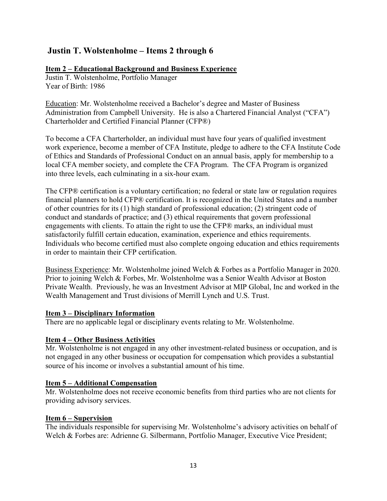# Justin T. Wolstenholme – Items 2 through 6

# Item 2 – Educational Background and Business Experience

Justin T. Wolstenholme, Portfolio Manager Year of Birth: 1986

Education: Mr. Wolstenholme received a Bachelor's degree and Master of Business Administration from Campbell University. He is also a Chartered Financial Analyst ("CFA") Charterholder and Certified Financial Planner (CFP®)

To become a CFA Charterholder, an individual must have four years of qualified investment work experience, become a member of CFA Institute, pledge to adhere to the CFA Institute Code of Ethics and Standards of Professional Conduct on an annual basis, apply for membership to a local CFA member society, and complete the CFA Program. The CFA Program is organized into three levels, each culminating in a six-hour exam.

The CFP® certification is a voluntary certification; no federal or state law or regulation requires financial planners to hold CFP® certification. It is recognized in the United States and a number of other countries for its (1) high standard of professional education; (2) stringent code of conduct and standards of practice; and (3) ethical requirements that govern professional engagements with clients. To attain the right to use the CFP® marks, an individual must satisfactorily fulfill certain education, examination, experience and ethics requirements. Individuals who become certified must also complete ongoing education and ethics requirements in order to maintain their CFP certification.

Business Experience: Mr. Wolstenholme joined Welch & Forbes as a Portfolio Manager in 2020. Prior to joining Welch & Forbes, Mr. Wolstenholme was a Senior Wealth Advisor at Boston Private Wealth. Previously, he was an Investment Advisor at MIP Global, Inc and worked in the Wealth Management and Trust divisions of Merrill Lynch and U.S. Trust.

# Item 3 – Disciplinary Information

There are no applicable legal or disciplinary events relating to Mr. Wolstenholme.

# Item 4 – Other Business Activities

Mr. Wolstenholme is not engaged in any other investment-related business or occupation, and is not engaged in any other business or occupation for compensation which provides a substantial source of his income or involves a substantial amount of his time.

# Item 5 – Additional Compensation

Mr. Wolstenholme does not receive economic benefits from third parties who are not clients for providing advisory services.

# Item 6 – Supervision

The individuals responsible for supervising Mr. Wolstenholme's advisory activities on behalf of Welch & Forbes are: Adrienne G. Silbermann, Portfolio Manager, Executive Vice President;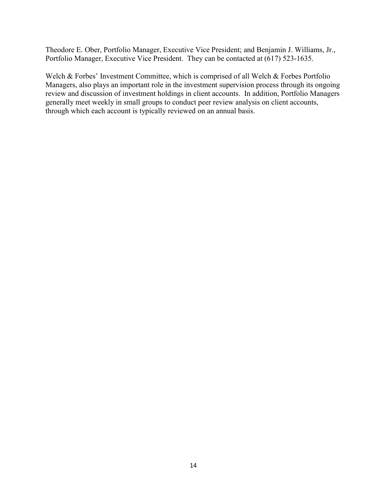Theodore E. Ober, Portfolio Manager, Executive Vice President; and Benjamin J. Williams, Jr., Portfolio Manager, Executive Vice President. They can be contacted at (617) 523-1635.